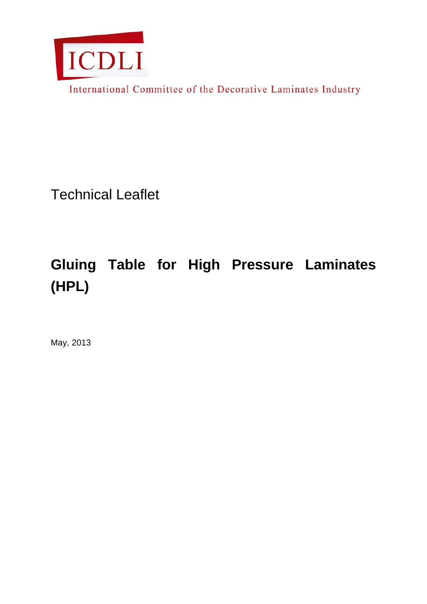

International Committee of the Decorative Laminates Industry

Technical Leaflet

## **Gluing Table for High Pressure Laminates (HPL)**

May, 2013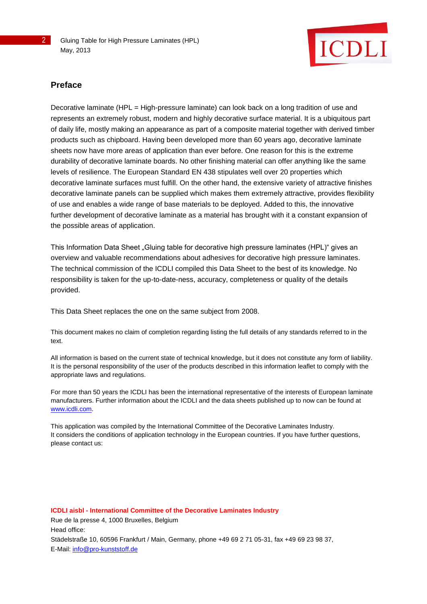2 Gluing Table for High Pressure Laminates (HPL) May, 2013



## **Preface**

Decorative laminate (HPL = High-pressure laminate) can look back on a long tradition of use and represents an extremely robust, modern and highly decorative surface material. It is a ubiquitous part of daily life, mostly making an appearance as part of a composite material together with derived timber products such as chipboard. Having been developed more than 60 years ago, decorative laminate sheets now have more areas of application than ever before. One reason for this is the extreme durability of decorative laminate boards. No other finishing material can offer anything like the same levels of resilience. The European Standard EN 438 stipulates well over 20 properties which decorative laminate surfaces must fulfill. On the other hand, the extensive variety of attractive finishes decorative laminate panels can be supplied which makes them extremely attractive, provides flexibility of use and enables a wide range of base materials to be deployed. Added to this, the innovative further development of decorative laminate as a material has brought with it a constant expansion of the possible areas of application.

This Information Data Sheet "Gluing table for decorative high pressure laminates (HPL)" gives an overview and valuable recommendations about adhesives for decorative high pressure laminates. The technical commission of the ICDLI compiled this Data Sheet to the best of its knowledge. No responsibility is taken for the up-to-date-ness, accuracy, completeness or quality of the details provided.

This Data Sheet replaces the one on the same subject from 2008.

This document makes no claim of completion regarding listing the full details of any standards referred to in the text.

All information is based on the current state of technical knowledge, but it does not constitute any form of liability. It is the personal responsibility of the user of the products described in this information leaflet to comply with the appropriate laws and regulations.

For more than 50 years the ICDLI has been the international representative of the interests of European laminate manufacturers. Further information about the ICDLI and the data sheets published up to now can be found at [www.icdli.com.](http://www.icdli.com/)

This application was compiled by the International Committee of the Decorative Laminates Industry. It considers the conditions of application technology in the European countries. If you have further questions, please contact us:

**ICDLI aisbl - International Committee of the Decorative Laminates Industry** Rue de la presse 4, 1000 Bruxelles, Belgium Head office: Städelstraße 10, 60596 Frankfurt / Main, Germany, phone +49 69 2 71 05-31, fax +49 69 23 98 37, E-Mail: [info@pro-kunststoff.de](mailto:info@pro-kunststoff.de)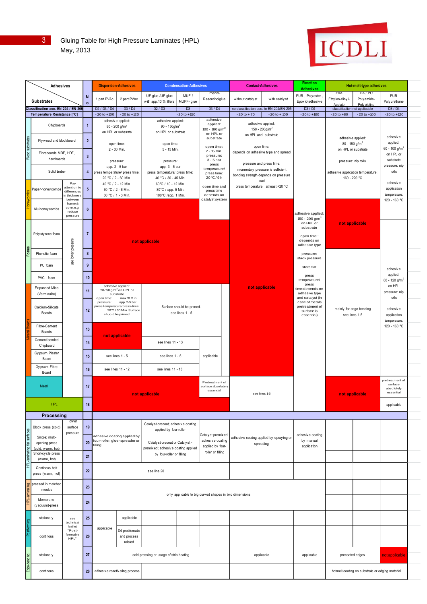| 3. | Gluing Table for High Pressure Laminates (HPL) |
|----|------------------------------------------------|
|    | May, 2013                                      |



| <b>Adhesives</b> |                                                                        |                                                              | <b>Dispersion-Adhesives</b> |                                                  | <b>Condensation-Adbesives</b>                            |                                                                 |                             |                                                      | <b>Contact-Adhesives</b> |                                                   | Reaction<br><b>Adhesives</b>                    | Hot-melt-type adhesives                                                              |                                                  |                                                       |                                          |  |
|------------------|------------------------------------------------------------------------|--------------------------------------------------------------|-----------------------------|--------------------------------------------------|----------------------------------------------------------|-----------------------------------------------------------------|-----------------------------|------------------------------------------------------|--------------------------|---------------------------------------------------|-------------------------------------------------|--------------------------------------------------------------------------------------|--------------------------------------------------|-------------------------------------------------------|------------------------------------------|--|
|                  |                                                                        |                                                              | N                           | 1 part PVAc                                      | 2 part PVAc                                              | UF-glue /UF-glue                                                | MUF /                       | Phenol-<br>Resorcinolglue                            |                          | without cataly st                                 | with catalyst                                   | PUR-, Polyester-,                                                                    | <b>EVA</b><br>Ethy len-Viny l-                   | PA/PO<br>Poly amide-                                  | <b>PUR</b>                               |  |
|                  | <b>Substrates</b><br><b>Classification acc. EN 204 / EN 205</b>        |                                                              | $\Omega$                    | D <sub>2</sub> / D <sub>3</sub> / D <sub>4</sub> | D3 / D4                                                  | with app. 10 % fillers<br>D2 / D3                               | MUPF-glue<br>D <sub>3</sub> | D3 / D4                                              |                          |                                                   | no classification acc. to EN 204/EN 205         | Epox id-adhesiv e<br>D3 / D4                                                         |                                                  | Acetate Poly olefine<br>classification not applicable | Poly urethane<br>D3 / D4                 |  |
|                  | Temperature Resistance [°C]                                            |                                                              | $-20$ to $+100$             | $-20$ to $+120$                                  |                                                          | $-20$ to $+150$                                                 |                             |                                                      | $-20 to + 70$            | $-20$ to $+100$                                   | $-20$ to $+100$                                 | $-20$ to $+80$                                                                       | $-20$ to $+100$                                  | $-20$ to $+120$                                       |                                          |  |
|                  |                                                                        | Chipboards                                                   |                             |                                                  | adhesive applied:<br>$80 - 200$ g/m <sup>2</sup>         | adhesive applied:<br>90 - $150$ g/m <sup>2</sup>                |                             | adhesive<br>applied:                                 |                          |                                                   | adhesive applied:                               |                                                                                      |                                                  |                                                       |                                          |  |
|                  | Wood substrates<br>Ply wood and blockboard<br>Fibreboards MDF, HDF,    |                                                              |                             | on HPL or substrate<br>open time:                |                                                          | on HPL or substrate<br>open time:                               |                             | 100 - 180 g/m <sup>2</sup><br>on HPL or<br>substrate |                          | 150 - 200g/m <sup>2</sup><br>on HPL and substrate |                                                 |                                                                                      | adhesive applied:<br>$80 - 150$ g/m <sup>2</sup> |                                                       |                                          |  |
|                  |                                                                        |                                                              |                             |                                                  |                                                          |                                                                 |                             |                                                      |                          |                                                   |                                                 |                                                                                      |                                                  |                                                       | adhesive<br>applied:                     |  |
|                  |                                                                        |                                                              |                             |                                                  | 2 - 30 Min.                                              | 5 - 15 Min.                                                     |                             | open time:<br>2 - 15 Min.<br>pressure:               |                          | open time:<br>depends on adhesive type and spread |                                                 |                                                                                      | on HPL or substrate                              |                                                       | 60 - 100 g/m <sup>2</sup><br>on HPL or   |  |
| hardboards       |                                                                        |                                                              | $\mathbf{3}$                |                                                  | pressure:                                                |                                                                 | pressure:                   |                                                      | $3 - 5$ bar              | pressure and press time:                          |                                                 |                                                                                      | pressure: nip rolls                              |                                                       | substrate                                |  |
|                  | Solid timber                                                           | 4                                                            |                             |                                                  | app. 2 - 5 bar<br>press temperature/ press time:         | app. 3 - 5 bar<br>press temperature/ press time:                |                             | press<br>temperature/                                |                          |                                                   | momentary pressure is sufficient                |                                                                                      |                                                  | adhesive application temperature:                     |                                          |  |
|                  |                                                                        |                                                              |                             | 20 °C / 2 - 60 Min.                              |                                                          | 40 °C / 30 - 45 Min.                                            |                             | press time:<br>20 °C / 9 h                           |                          | bonding strength depends on pressure<br>load      |                                                 |                                                                                      | 160 - 220 °C                                     |                                                       | rolls                                    |  |
|                  | Paper-honey combs                                                      | Pay<br>attention to                                          | $5\phantom{.0}$             | 40 °C / 2 - 12 Min.<br>60 °C / 2 - 6 Min.        |                                                          | 60°C / 10 - 12 Min.<br>80°C / app. 5 Min.                       |                             | open time and<br>press time                          |                          | press temperature: at least +20 °C                |                                                 |                                                                                      |                                                  |                                                       | adhesive<br>application                  |  |
|                  |                                                                        | differences<br>in thickness<br>between                       |                             |                                                  | 80 °C / 1 - 3 Min.                                       | 100°C /app. 1 Min.                                              |                             | depends on<br>catalyst system                        |                          |                                                   |                                                 |                                                                                      |                                                  |                                                       | temperature:<br>120 - 160 °C             |  |
|                  |                                                                        | frame &<br>core, e.g.                                        |                             |                                                  |                                                          |                                                                 |                             |                                                      |                          |                                                   |                                                 |                                                                                      |                                                  |                                                       |                                          |  |
|                  | Alu-honey combs                                                        | reduce<br>pressure                                           | $\boldsymbol{6}$            |                                                  |                                                          |                                                                 |                             |                                                      |                          |                                                   |                                                 | adhesive applied:                                                                    |                                                  |                                                       |                                          |  |
|                  |                                                                        |                                                              |                             |                                                  |                                                          |                                                                 |                             |                                                      |                          |                                                   |                                                 | 150 - 200 g/m <sup>2</sup><br>on HPL or                                              |                                                  | not applicable                                        |                                          |  |
|                  | Poly sty rene foam                                                     |                                                              | $\overline{7}$              |                                                  |                                                          |                                                                 |                             |                                                      |                          |                                                   |                                                 | substrate<br>open time :                                                             |                                                  |                                                       |                                          |  |
|                  |                                                                        |                                                              |                             | not applicable                                   |                                                          |                                                                 |                             |                                                      |                          |                                                   |                                                 | depends on<br>adhesive type                                                          |                                                  |                                                       |                                          |  |
| <b>Foams</b>     | Phenolic foam                                                          |                                                              | $\pmb{8}$                   |                                                  |                                                          |                                                                 |                             |                                                      |                          |                                                   |                                                 | pressure:                                                                            |                                                  |                                                       |                                          |  |
|                  |                                                                        | use lower pressure                                           |                             |                                                  |                                                          |                                                                 |                             |                                                      |                          |                                                   |                                                 | stack pressure                                                                       |                                                  |                                                       |                                          |  |
|                  | PU foam                                                                |                                                              | 9                           |                                                  |                                                          |                                                                 |                             |                                                      |                          |                                                   |                                                 | store flat                                                                           |                                                  |                                                       | adhesive                                 |  |
|                  | PVC - foam                                                             |                                                              | 10                          |                                                  |                                                          |                                                                 |                             |                                                      |                          |                                                   |                                                 | press<br>temperature/                                                                |                                                  |                                                       | applied:<br>80 - 120 g/m <sup>2</sup>    |  |
|                  | Expanded Mica                                                          |                                                              | 11                          |                                                  | adhesive applied:<br>110-150 g/m <sup>2</sup> on HPL or  |                                                                 |                             |                                                      |                          | not applicable                                    |                                                 | press<br>time:depends on                                                             |                                                  |                                                       | on HPL<br>pressure: nip                  |  |
|                  | (Vermiculite)                                                          |                                                              |                             | open time:                                       | substrate<br>max 10 Min.<br>app. 2-5 bar                 | Surface should be primed.<br>see lines 1 - 5                    |                             |                                                      |                          |                                                   |                                                 | adhesive type<br>and catalyst (in<br>case of metals<br>pretreatment of<br>surface is |                                                  |                                                       | rolls                                    |  |
|                  | Calcium-Silicate                                                       |                                                              | 12                          | pressure:                                        | press temperature/press-time:<br>20°C / 30 M in. Surface |                                                                 |                             |                                                      |                          |                                                   |                                                 |                                                                                      | mainly for edge bending                          | adhesive                                              |                                          |  |
|                  | Boards                                                                 |                                                              |                             |                                                  | shuold be primed                                         |                                                                 |                             |                                                      |                          |                                                   | essential)                                      | see lines 1-5                                                                        |                                                  | application<br>temperature:                           |                                          |  |
| Fibre-Cement     |                                                                        |                                                              | 13                          |                                                  |                                                          |                                                                 |                             |                                                      |                          |                                                   |                                                 |                                                                                      |                                                  | 120 - 160 °C                                          |                                          |  |
|                  | Boards<br>Cement-bonded                                                |                                                              |                             |                                                  | not applicable                                           |                                                                 |                             |                                                      |                          |                                                   |                                                 |                                                                                      |                                                  |                                                       |                                          |  |
|                  | Chipboard                                                              |                                                              | 14                          |                                                  |                                                          | see lines 11 - 13                                               |                             |                                                      |                          |                                                   |                                                 |                                                                                      |                                                  |                                                       |                                          |  |
|                  | Gy psum Plaster<br>Board                                               |                                                              |                             | see lines 1 - 5                                  |                                                          | see lines 1 - 5                                                 |                             | applicable                                           |                          |                                                   |                                                 |                                                                                      |                                                  |                                                       |                                          |  |
|                  | Gy psum-Fibre                                                          |                                                              |                             | see lines 11 - 12                                |                                                          | see lines 11 - 13                                               |                             |                                                      |                          |                                                   |                                                 |                                                                                      |                                                  |                                                       |                                          |  |
|                  | 16<br>Board                                                            |                                                              |                             |                                                  |                                                          |                                                                 |                             |                                                      |                          |                                                   |                                                 |                                                                                      |                                                  |                                                       |                                          |  |
| Metal            |                                                                        |                                                              | 17                          | Pretreatment of<br>surface absolutely            |                                                          |                                                                 |                             |                                                      |                          | see lines 1-5                                     |                                                 |                                                                                      | not applicable                                   |                                                       | pretreatment of<br>surface<br>absolutely |  |
|                  |                                                                        |                                                              |                             |                                                  | not applicable                                           |                                                                 | essential                   |                                                      |                          |                                                   |                                                 | essential                                                                            |                                                  |                                                       |                                          |  |
| <b>HPL</b>       |                                                                        |                                                              | 18                          |                                                  |                                                          |                                                                 |                             |                                                      |                          |                                                   |                                                 |                                                                                      |                                                  |                                                       | applicable                               |  |
|                  | Processing                                                             |                                                              |                             |                                                  |                                                          |                                                                 |                             |                                                      |                          |                                                   |                                                 |                                                                                      |                                                  |                                                       |                                          |  |
|                  | Block press (cold)                                                     | low er<br>surface                                            | 19                          |                                                  |                                                          | Cataly st-precoat; adhesive coating                             |                             |                                                      |                          |                                                   |                                                 |                                                                                      |                                                  |                                                       |                                          |  |
|                  | Single; multi-                                                         | pressure                                                     |                             |                                                  | adhesive coating applied by                              | applied by four-roller                                          |                             | Cataly st-premix ed;                                 |                          |                                                   | adhesive coating applied by spraying or         | adhesive coating                                                                     |                                                  |                                                       |                                          |  |
|                  | opening press                                                          |                                                              | 20                          | four-roller, glue-spreader or<br>filling         |                                                          | Cataly st-precoat or Cataly st -                                |                             | adhesive coating<br>applied by four-                 |                          | spreading                                         |                                                 | by manual<br>application                                                             |                                                  |                                                       |                                          |  |
|                  | HPL-laminating flat surfaces<br>(cold, warm, hot)<br>Short-cycle press |                                                              | 21                          |                                                  |                                                          | premixed; adhesive coating applied<br>by four-roller or filling |                             | roller or filling                                    |                          |                                                   |                                                 |                                                                                      |                                                  |                                                       |                                          |  |
|                  | (warm, hot)                                                            |                                                              |                             |                                                  |                                                          |                                                                 |                             |                                                      |                          |                                                   |                                                 |                                                                                      |                                                  |                                                       |                                          |  |
|                  | Continous belt<br>22<br>see line 20<br>press (warm, hot)               |                                                              |                             |                                                  |                                                          |                                                                 |                             |                                                      |                          |                                                   |                                                 |                                                                                      |                                                  |                                                       |                                          |  |
| m                | pressed in matched                                                     |                                                              |                             |                                                  |                                                          |                                                                 |                             |                                                      |                          |                                                   |                                                 |                                                                                      |                                                  |                                                       |                                          |  |
| laminati         | moulds                                                                 |                                                              | 23                          |                                                  |                                                          |                                                                 |                             |                                                      |                          |                                                   |                                                 |                                                                                      |                                                  |                                                       |                                          |  |
| HPL-             | Membrane-                                                              | only applicable to big curved shapes in two dimensions<br>24 |                             |                                                  |                                                          |                                                                 |                             |                                                      |                          |                                                   |                                                 |                                                                                      |                                                  |                                                       |                                          |  |
|                  | (vacuum)-press                                                         |                                                              |                             |                                                  |                                                          |                                                                 |                             |                                                      |                          |                                                   |                                                 |                                                                                      |                                                  |                                                       |                                          |  |
|                  | stationary                                                             | see<br>technical                                             | 25                          |                                                  | applicable                                               |                                                                 |                             |                                                      |                          |                                                   |                                                 |                                                                                      |                                                  |                                                       |                                          |  |
|                  |                                                                        | leaflet<br>"Post-                                            |                             | applicable                                       | D4 problematic                                           |                                                                 |                             |                                                      |                          |                                                   |                                                 |                                                                                      |                                                  |                                                       |                                          |  |
|                  | continous                                                              | formable<br>HPL"                                             | 26                          |                                                  | and process<br>related                                   |                                                                 |                             |                                                      |                          |                                                   |                                                 |                                                                                      |                                                  |                                                       |                                          |  |
|                  |                                                                        |                                                              |                             |                                                  |                                                          |                                                                 |                             |                                                      |                          |                                                   |                                                 |                                                                                      |                                                  |                                                       |                                          |  |
| Edge-bending     | 27<br>stationary<br>cold-pressing or usage of strip heating            |                                                              |                             |                                                  |                                                          |                                                                 | applicable<br>applicable    |                                                      | precoated edges          |                                                   | not applicable                                  |                                                                                      |                                                  |                                                       |                                          |  |
|                  | continous<br>28<br>adhesive reactivating process                       |                                                              |                             |                                                  |                                                          |                                                                 |                             |                                                      |                          |                                                   | hotmelt-coating on substrate or edging material |                                                                                      |                                                  |                                                       |                                          |  |
|                  |                                                                        |                                                              |                             |                                                  |                                                          |                                                                 |                             |                                                      |                          |                                                   |                                                 |                                                                                      |                                                  |                                                       |                                          |  |